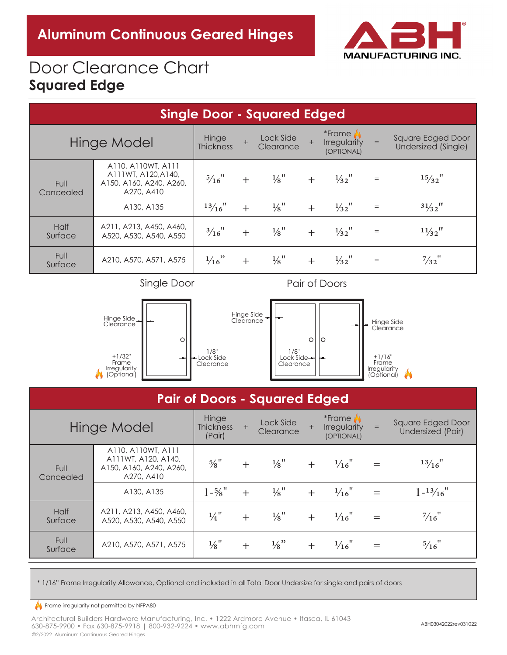

# Door Clearance Chart **Squared Edge**

| <b>Single Door - Squared Edged</b> |                                                                                    |                                  |     |                        |     |                                               |           |                                          |  |  |  |
|------------------------------------|------------------------------------------------------------------------------------|----------------------------------|-----|------------------------|-----|-----------------------------------------------|-----------|------------------------------------------|--|--|--|
| <b>Hinge Model</b>                 |                                                                                    | Hinge<br>$+$<br><b>Thickness</b> |     | Lock Side<br>Clearance |     | *Frame A<br><b>Irregularity</b><br>(OPTIONAL) | $=$       | Square Edged Door<br>Undersized (Single) |  |  |  |
| <b>Full</b><br>Concealed           | A110, A110WT, A111<br>A111WT, A120, A140,<br>A150, A160, A240, A260,<br>A270, A410 | $\frac{5}{16}$ "                 | $+$ | $\frac{1}{8}$ "        | $+$ | $\frac{1}{32}$ "                              | $\equiv$  | $15/32$ "                                |  |  |  |
|                                    | A130, A135                                                                         | $13/16$ "                        | $+$ | $\frac{1}{8}$ "        | $+$ | $\frac{1}{32}$ "                              | $\quad =$ | $31/32$ <sup>11</sup>                    |  |  |  |
| <b>Half</b><br>Surface             | A211, A213, A450, A460,<br>A520, A530, A540, A550                                  | $\frac{3}{16}$ "                 | $+$ | $\frac{1}{8}$ "        | $+$ | $\frac{1}{32}$ "                              | $\quad =$ | $1\frac{1}{32}$ <sup>11</sup>            |  |  |  |
| Full<br>Surface                    | A210, A570, A571, A575                                                             | $\frac{1}{16}$ "                 | $+$ | $\frac{1}{8}$ "        | $+$ | $\frac{1}{32}$ "                              | $=$       | $\frac{7}{32}$ <sup>"</sup>              |  |  |  |

Pair of Door Single Door Pair of Doors



## **Pair of Doors - Squared Edged**

| Hinge Model              |                                                                                    | Hinge<br><b>Thickness</b><br>(Pair) | $+$ | Lock Side<br>Clearance      | $+$ | *Frame<br><b>Irregularity</b><br>(OPTIONAL) | $=$ | Square Edged Door<br>Undersized (Pair) |
|--------------------------|------------------------------------------------------------------------------------|-------------------------------------|-----|-----------------------------|-----|---------------------------------------------|-----|----------------------------------------|
| <b>Full</b><br>Concealed | A110, A110WT, A111<br>A111WT, A120, A140,<br>A150, A160, A240, A260,<br>A270, A410 | $\frac{5}{8}$ <sup>11</sup>         |     | $\frac{1}{8}$ <sup>11</sup> | $+$ | $\frac{1}{16}$ "                            |     | $13/16$ "                              |
|                          | A130, A135                                                                         | $1 - \frac{5}{8}$ "                 | $+$ | $\frac{1}{8}$ "             | $+$ | $\frac{1}{16}$ "                            |     | $1 - \frac{13}{16}$                    |
| <b>Half</b><br>Surface   | A211, A213, A450, A460,<br>A520, A530, A540, A550                                  | $\frac{1}{4}$ "                     | $+$ | $\frac{1}{8}$ "             | $+$ | $\frac{1}{16}$ "                            |     | $\frac{7}{16}$ "                       |
| Full<br>Surface          | A210, A570, A571, A575                                                             | $\frac{1}{8}$ <sup>11</sup>         | $+$ | $\frac{1}{8}$ "             |     | $\frac{1}{16}$ "                            |     | $\frac{5}{16}$ "                       |

Lock Side

\* 1/16" Frame Irregularity Allowance, Optional and included in all Total Door Undersize for single and pairs of doors

Lock Side

### Frame irregularity not permitted by NFPA80 Frame Irregularity

Clearance

+1/32"

Clearance

+1/16"